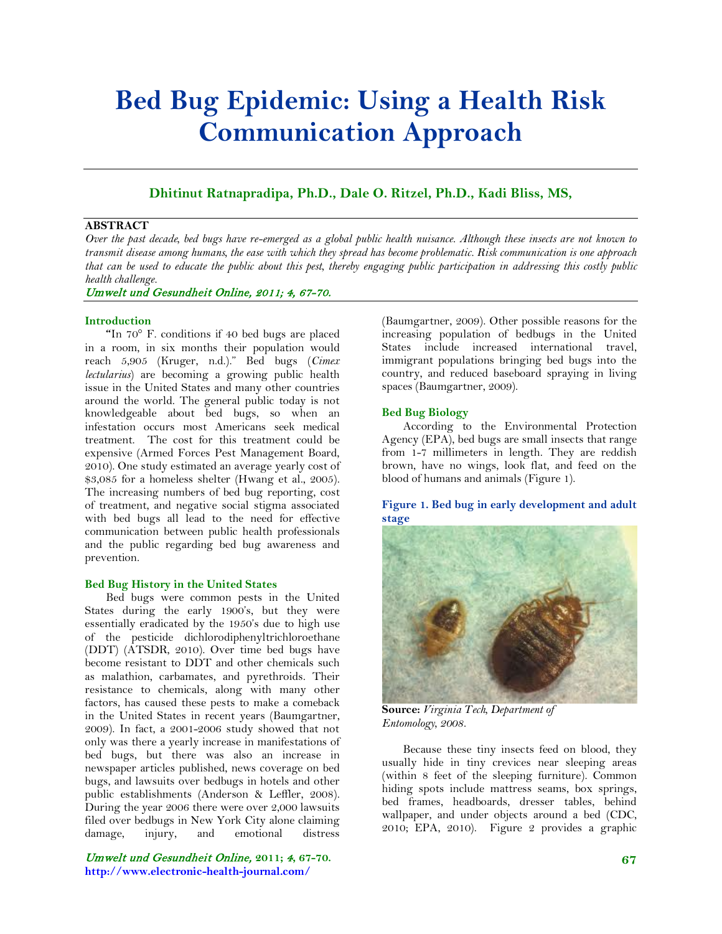# **Bed Bug Epidemic: Using a Health Risk Communication Approach**

# **Dhitinut Ratnapradipa, Ph.D., Dale O. Ritzel, Ph.D., Kadi Bliss, MS,**

# **ABSTRACT**

*Over the past decade, bed bugs have re-emerged as a global public health nuisance. Although these insects are not known to transmit disease among humans, the ease with which they spread has become problematic. Risk communication is one approach that can be used to educate the public about this pest, thereby engaging public participation in addressing this costly public health challenge.*

Umwelt und Gesundheit Online, 2011; 4, 67-70.

#### **Introduction**

**"**In 70° F. conditions if 40 bed bugs are placed in a room, in six months their population would reach 5,905 (Kruger, n.d.)." Bed bugs (*Cimex lectularius*) are becoming a growing public health issue in the United States and many other countries around the world. The general public today is not knowledgeable about bed bugs, so when an infestation occurs most Americans seek medical treatment. The cost for this treatment could be expensive (Armed Forces Pest Management Board, 2010). One study estimated an average yearly cost of \$3,085 for a homeless shelter (Hwang et al., 2005). The increasing numbers of bed bug reporting, cost of treatment, and negative social stigma associated with bed bugs all lead to the need for effective communication between public health professionals and the public regarding bed bug awareness and prevention.

#### **Bed Bug History in the United States**

Bed bugs were common pests in the United States during the early 1900's, but they were essentially eradicated by the 1950's due to high use of the pesticide dichlorodiphenyltrichloroethane (DDT) (ATSDR, 2010). Over time bed bugs have become resistant to DDT and other chemicals such as malathion, carbamates, and pyrethroids. Their resistance to chemicals, along with many other factors, has caused these pests to make a comeback in the United States in recent years (Baumgartner, 2009). In fact, a 2001-2006 study showed that not only was there a yearly increase in manifestations of bed bugs, but there was also an increase in newspaper articles published, news coverage on bed bugs, and lawsuits over bedbugs in hotels and other public establishments (Anderson & Leffler, 2008). During the year 2006 there were over 2,000 lawsuits filed over bedbugs in New York City alone claiming damage, injury, and emotional distress

Umwelt und Gesundheit Online, **2011;** 4**, 67-70. http://www.electronic-health-journal.com/**

(Baumgartner, 2009). Other possible reasons for the increasing population of bedbugs in the United States include increased international travel, immigrant populations bringing bed bugs into the country, and reduced baseboard spraying in living spaces (Baumgartner, 2009).

#### **Bed Bug Biology**

According to the Environmental Protection Agency (EPA), bed bugs are small insects that range from 1-7 millimeters in length. They are reddish brown, have no wings, look flat, and feed on the blood of humans and animals (Figure 1).

**Figure 1. Bed bug in early development and adult stage**



**Source:** *Virginia Tech, Department of Entomology, 2008.*

Because these tiny insects feed on blood, they usually hide in tiny crevices near sleeping areas (within 8 feet of the sleeping furniture). Common hiding spots include mattress seams, box springs, bed frames, headboards, dresser tables, behind wallpaper, and under objects around a bed (CDC, 2010; EPA, 2010). Figure 2 provides a graphic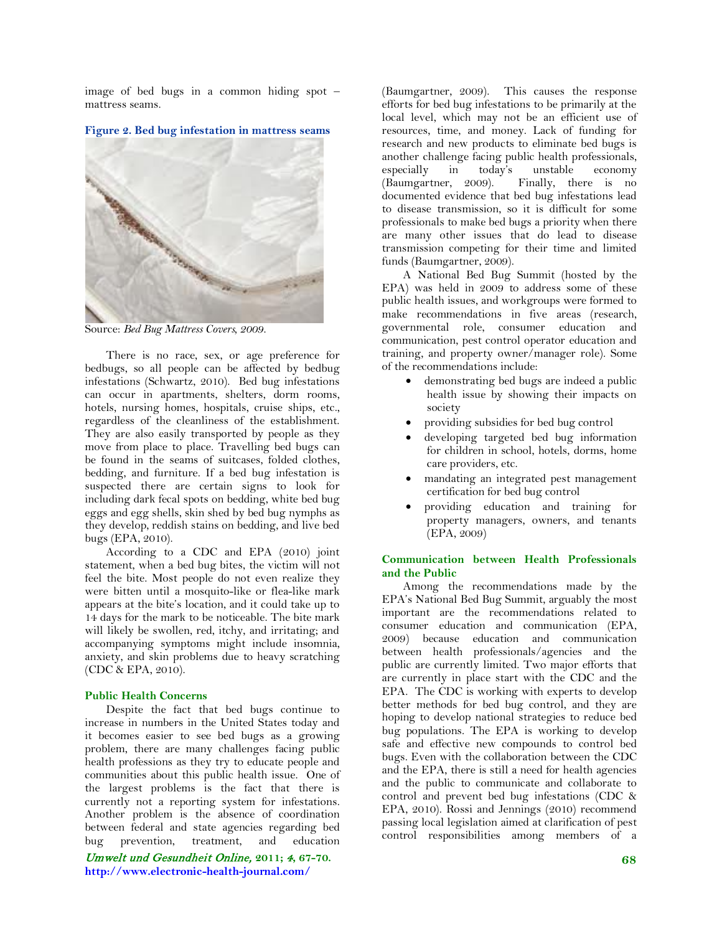image of bed bugs in a common hiding spot – mattress seams.

**Figure 2. Bed bug infestation in mattress seams**



Source: *Bed Bug Mattress Covers, 2009.*

There is no race, sex, or age preference for bedbugs, so all people can be affected by bedbug infestations (Schwartz, 2010). Bed bug infestations can occur in apartments, shelters, dorm rooms, hotels, nursing homes, hospitals, cruise ships, etc., regardless of the cleanliness of the establishment. They are also easily transported by people as they move from place to place. Travelling bed bugs can be found in the seams of suitcases, folded clothes, bedding, and furniture. If a bed bug infestation is suspected there are certain signs to look for including dark fecal spots on bedding, white bed bug eggs and egg shells, skin shed by bed bug nymphs as they develop, reddish stains on bedding, and live bed bugs (EPA, 2010).

According to a CDC and EPA (2010) joint statement, when a bed bug bites, the victim will not feel the bite. Most people do not even realize they were bitten until a mosquito-like or flea-like mark appears at the bite's location, and it could take up to 14 days for the mark to be noticeable. The bite mark will likely be swollen, red, itchy, and irritating; and accompanying symptoms might include insomnia, anxiety, and skin problems due to heavy scratching (CDC & EPA, 2010).

## **Public Health Concerns**

Despite the fact that bed bugs continue to increase in numbers in the United States today and it becomes easier to see bed bugs as a growing problem, there are many challenges facing public health professions as they try to educate people and communities about this public health issue. One of the largest problems is the fact that there is currently not a reporting system for infestations. Another problem is the absence of coordination between federal and state agencies regarding bed bug prevention, treatment, and education

Umwelt und Gesundheit Online, **2011;** 4**, 67-70. http://www.electronic-health-journal.com/**

(Baumgartner, 2009). This causes the response efforts for bed bug infestations to be primarily at the local level, which may not be an efficient use of resources, time, and money. Lack of funding for research and new products to eliminate bed bugs is another challenge facing public health professionals, especially in today's unstable economy (Baumgartner, 2009). Finally, there is no documented evidence that bed bug infestations lead to disease transmission, so it is difficult for some professionals to make bed bugs a priority when there are many other issues that do lead to disease transmission competing for their time and limited funds (Baumgartner, 2009).

A National Bed Bug Summit (hosted by the EPA) was held in 2009 to address some of these public health issues, and workgroups were formed to make recommendations in five areas (research, governmental role, consumer education and communication, pest control operator education and training, and property owner/manager role). Some of the recommendations include:

- demonstrating bed bugs are indeed a public health issue by showing their impacts on society
- providing subsidies for bed bug control
- developing targeted bed bug information for children in school, hotels, dorms, home care providers, etc.
- mandating an integrated pest management certification for bed bug control
- providing education and training for property managers, owners, and tenants (EPA, 2009)

## **Communication between Health Professionals and the Public**

Among the recommendations made by the EPA's National Bed Bug Summit, arguably the most important are the recommendations related to consumer education and communication (EPA, 2009) because education and communication between health professionals/agencies and the public are currently limited. Two major efforts that are currently in place start with the CDC and the EPA. The CDC is working with experts to develop better methods for bed bug control, and they are hoping to develop national strategies to reduce bed bug populations. The EPA is working to develop safe and effective new compounds to control bed bugs. Even with the collaboration between the CDC and the EPA, there is still a need for health agencies and the public to communicate and collaborate to control and prevent bed bug infestations (CDC & EPA, 2010). Rossi and Jennings (2010) recommend passing local legislation aimed at clarification of pest control responsibilities among members of a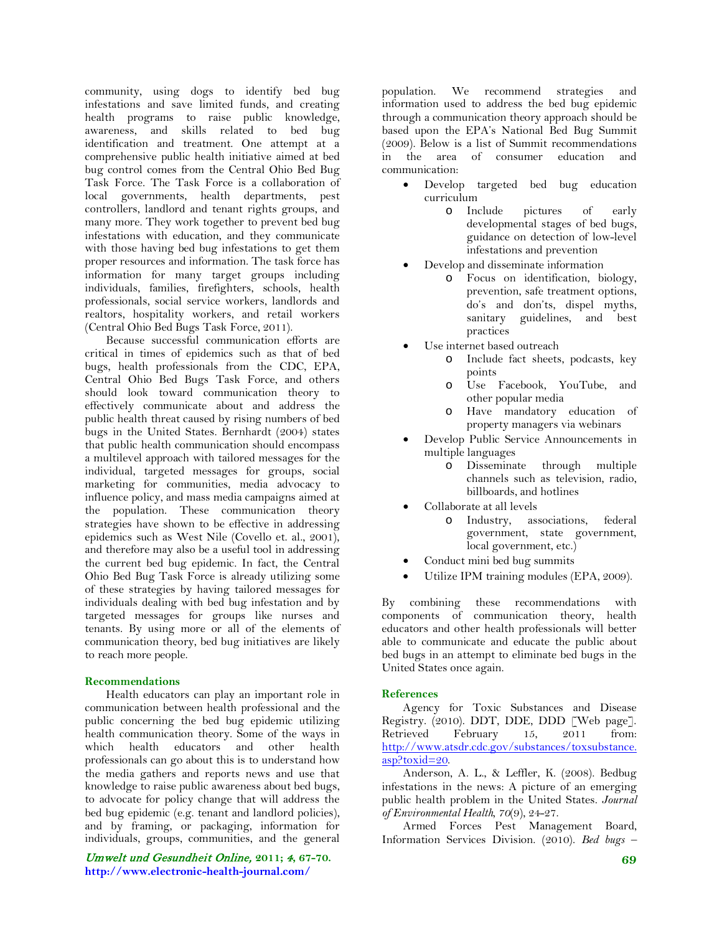community, using dogs to identify bed bug infestations and save limited funds, and creating health programs to raise public knowledge, awareness, and skills related to bed bug identification and treatment. One attempt at a comprehensive public health initiative aimed at bed bug control comes from the Central Ohio Bed Bug Task Force. The Task Force is a collaboration of local governments, health departments, pest controllers, landlord and tenant rights groups, and many more. They work together to prevent bed bug infestations with education, and they communicate with those having bed bug infestations to get them proper resources and information. The task force has information for many target groups including individuals, families, firefighters, schools, health professionals, social service workers, landlords and realtors, hospitality workers, and retail workers (Central Ohio Bed Bugs Task Force, 2011).

Because successful communication efforts are critical in times of epidemics such as that of bed bugs, health professionals from the CDC, EPA, Central Ohio Bed Bugs Task Force, and others should look toward communication theory to effectively communicate about and address the public health threat caused by rising numbers of bed bugs in the United States. Bernhardt (2004) states that public health communication should encompass a multilevel approach with tailored messages for the individual, targeted messages for groups, social marketing for communities, media advocacy to influence policy, and mass media campaigns aimed at the population. These communication theory strategies have shown to be effective in addressing epidemics such as West Nile (Covello et. al., 2001), and therefore may also be a useful tool in addressing the current bed bug epidemic. In fact, the Central Ohio Bed Bug Task Force is already utilizing some of these strategies by having tailored messages for individuals dealing with bed bug infestation and by targeted messages for groups like nurses and tenants. By using more or all of the elements of communication theory, bed bug initiatives are likely to reach more people.

# **Recommendations**

Health educators can play an important role in communication between health professional and the public concerning the bed bug epidemic utilizing health communication theory. Some of the ways in which health educators and other health professionals can go about this is to understand how the media gathers and reports news and use that knowledge to raise public awareness about bed bugs, to advocate for policy change that will address the bed bug epidemic (e.g. tenant and landlord policies), and by framing, or packaging, information for individuals, groups, communities, and the general

Umwelt und Gesundheit Online, **2011;** 4**, 67-70. http://www.electronic-health-journal.com/**

population. We recommend strategies and information used to address the bed bug epidemic through a communication theory approach should be based upon the EPA's National Bed Bug Summit (2009). Below is a list of Summit recommendations in the area of consumer education and communication:

- Develop targeted bed bug education curriculum
	- o Include pictures of early developmental stages of bed bugs, guidance on detection of low-level infestations and prevention
- Develop and disseminate information
	- o Focus on identification, biology, prevention, safe treatment options, do's and don'ts, dispel myths, sanitary guidelines, and best practices
	- Use internet based outreach
		- o Include fact sheets, podcasts, key points
		- o Use Facebook, YouTube, and other popular media
		- o Have mandatory education of property managers via webinars
- Develop Public Service Announcements in multiple languages
	- o Disseminate through multiple channels such as television, radio, billboards, and hotlines
- Collaborate at all levels
	- o Industry, associations, federal government, state government, local government, etc.)
- Conduct mini bed bug summits
- Utilize IPM training modules (EPA, 2009).

By combining these recommendations with components of communication theory, health educators and other health professionals will better able to communicate and educate the public about bed bugs in an attempt to eliminate bed bugs in the United States once again.

#### **References**

Agency for Toxic Substances and Disease Registry. (2010). DDT, DDE, DDD [Web page]. Retrieved February 15, 2011 from: [http://www.atsdr.cdc.gov/substances/toxsubstance.](http://www.atsdr.cdc.gov/substances/toxsubstance.asp?toxid=20) [asp?toxid=20.](http://www.atsdr.cdc.gov/substances/toxsubstance.asp?toxid=20)

Anderson, A. L., & Leffler, K. (2008). Bedbug infestations in the news: A picture of an emerging public health problem in the United States. *Journal of Environmental Health, 70*(9), 24-27.

Armed Forces Pest Management Board, Information Services Division. (2010). *Bed bugs –*